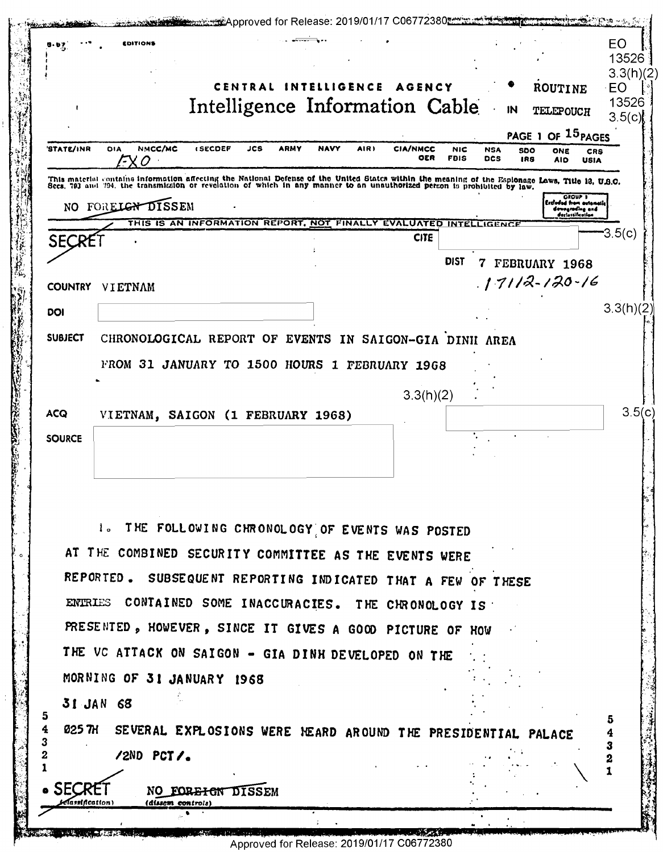|                           | EDITIONS                                               |                                                                                                                                                                                                                                  |                     |                               |             |                                                                                  | EO<br>13526        |
|---------------------------|--------------------------------------------------------|----------------------------------------------------------------------------------------------------------------------------------------------------------------------------------------------------------------------------------|---------------------|-------------------------------|-------------|----------------------------------------------------------------------------------|--------------------|
|                           |                                                        |                                                                                                                                                                                                                                  |                     |                               |             |                                                                                  | 3.3(h)(2)          |
|                           |                                                        | CENTRAL INTELLIGENCE AGENCY                                                                                                                                                                                                      |                     |                               |             | ROUTINE                                                                          | EO<br>13526        |
|                           |                                                        | Intelligence Information Cable                                                                                                                                                                                                   |                     |                               | IN          | TELEPOUCH                                                                        | 3.5(c)             |
| 'STATE/INR                | NMCC/MC<br><b>DIA</b>                                  | <b>ISECDEF</b><br>JCS<br><b>ARMY</b>                                                                                                                                                                                             | <b>NAVY</b><br>AIR) | <b>CIA/NMCC</b><br><b>NIC</b> | <b>NSA</b>  | PAGE 1 OF 15 PAGES                                                               |                    |
|                           | X O                                                    |                                                                                                                                                                                                                                  |                     | OER<br><b>FBIS</b>            | <b>DCS</b>  | 500<br>ONE<br>IRS<br><b>AID</b>                                                  | CRS<br><b>USIA</b> |
|                           |                                                        | This material contains information affecting the National Defense of the United States within the meaning of the Esplonage Laws, Title 13, U.S.O.<br>Secs, 793 and 794, the transmission or revelation of which in any manner to |                     |                               |             |                                                                                  |                    |
|                           | NO FORELGY DISSEM                                      |                                                                                                                                                                                                                                  |                     |                               |             | <b>GROUP 1</b><br>Extinded from outomotic<br>devegrading and<br>derlastification |                    |
|                           |                                                        | THIS IS AN INFORMATION REPORT, NOT FINALLY EVALUATED INTELLIGENCE                                                                                                                                                                |                     | <b>CITE</b>                   |             |                                                                                  | $-3.5(c)$          |
| <b>SECRE</b>              |                                                        |                                                                                                                                                                                                                                  |                     | <b>DIST</b>                   |             |                                                                                  |                    |
|                           |                                                        |                                                                                                                                                                                                                                  |                     |                               | $7^{\circ}$ | FEBRUARY 1968<br>$.17112 - 120 - 16$                                             |                    |
| <b>COUNTRY</b>            | VIETNAM                                                |                                                                                                                                                                                                                                  |                     |                               |             |                                                                                  |                    |
| DOI                       |                                                        |                                                                                                                                                                                                                                  |                     |                               |             |                                                                                  | 3.3(h)(2)          |
| <b>SUBJECT</b>            |                                                        | CHRONOLOGICAL REPORT OF EVENTS IN SAIGON-GIA DINII AREA                                                                                                                                                                          |                     |                               |             |                                                                                  |                    |
|                           |                                                        | FROM 31 JANUARY TO 1500 HOURS 1 FEBRUARY 1968                                                                                                                                                                                    |                     |                               |             |                                                                                  |                    |
|                           |                                                        |                                                                                                                                                                                                                                  |                     | 3.3(h)(2)                     |             |                                                                                  |                    |
| <b>ACQ</b>                |                                                        | VIETNAM, SAIGON (1 FEBRUARY 1968)                                                                                                                                                                                                |                     |                               |             |                                                                                  |                    |
| <b>SOURCE</b>             |                                                        |                                                                                                                                                                                                                                  |                     |                               |             |                                                                                  |                    |
|                           |                                                        |                                                                                                                                                                                                                                  |                     |                               |             |                                                                                  |                    |
|                           |                                                        |                                                                                                                                                                                                                                  |                     |                               |             |                                                                                  |                    |
|                           |                                                        |                                                                                                                                                                                                                                  |                     |                               |             |                                                                                  |                    |
|                           |                                                        | 1. THE FOLLOWING CHRONOLOGY OF EVENTS WAS POSTED                                                                                                                                                                                 |                     |                               |             |                                                                                  |                    |
|                           |                                                        | AT THE COMBINED SECURITY COMMITTEE AS THE EVENTS WERE                                                                                                                                                                            |                     |                               |             |                                                                                  |                    |
|                           |                                                        | REPORTED. SUBSEQUENT REPORTING INDICATED THAT A FEW OF THESE                                                                                                                                                                     |                     |                               |             |                                                                                  |                    |
|                           |                                                        |                                                                                                                                                                                                                                  |                     |                               |             |                                                                                  |                    |
|                           |                                                        |                                                                                                                                                                                                                                  |                     |                               |             |                                                                                  |                    |
|                           | ENTRIES CONTAINED SOME INACCURACIES. THE CHRONOLOGY IS |                                                                                                                                                                                                                                  |                     |                               |             |                                                                                  |                    |
|                           |                                                        | PRESENTED, HOWEVER, SINCE IT GIVES A GOOD PICTURE OF HOW                                                                                                                                                                         |                     |                               |             |                                                                                  |                    |
|                           |                                                        | THE VC ATTACK ON SAIGON - GIA DINH DEVELOPED ON THE                                                                                                                                                                              |                     |                               |             |                                                                                  |                    |
|                           | MORNING OF 31 JANUARY 1968                             |                                                                                                                                                                                                                                  |                     |                               |             |                                                                                  |                    |
|                           | 31 JAN 68                                              |                                                                                                                                                                                                                                  |                     |                               |             |                                                                                  |                    |
| 5<br>4                    |                                                        | 025 TH SEVERAL EXPLOSIONS WERE HEARD AROUND THE PRESIDENTIAL PALACE                                                                                                                                                              |                     |                               |             |                                                                                  | 5                  |
| 3<br>2                    | /2ND PCT/.                                             |                                                                                                                                                                                                                                  |                     |                               |             |                                                                                  | 3                  |
|                           |                                                        |                                                                                                                                                                                                                                  |                     |                               |             |                                                                                  |                    |
| • SECR<br>Classification) | (dissem controls)                                      | NO FOREIGN DISSEM                                                                                                                                                                                                                |                     |                               |             |                                                                                  |                    |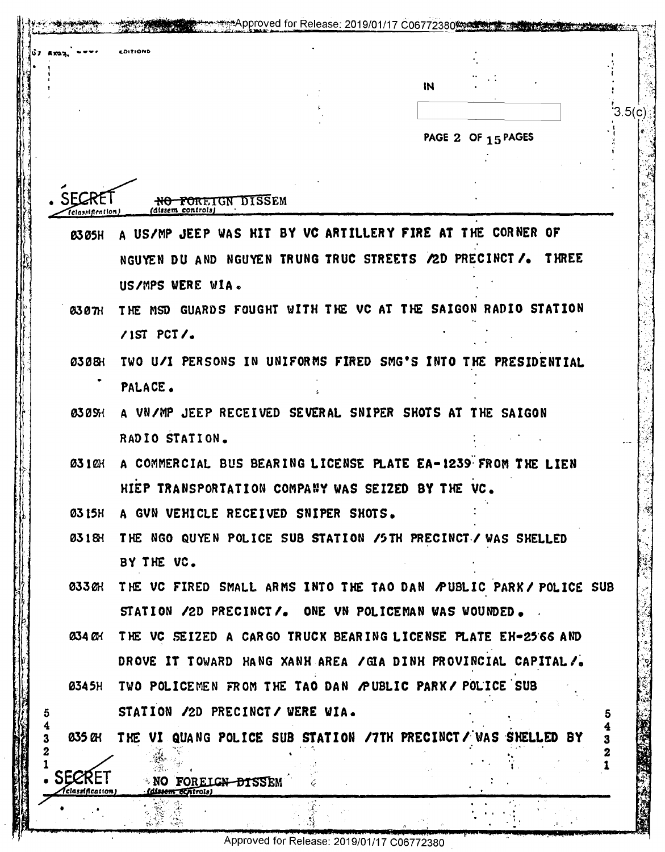|                                                 | <b>DITIONS</b>                                                         |                                                                   |    |                    |        |
|-------------------------------------------------|------------------------------------------------------------------------|-------------------------------------------------------------------|----|--------------------|--------|
|                                                 |                                                                        |                                                                   | IN |                    |        |
|                                                 |                                                                        |                                                                   |    |                    | 3.5(c) |
|                                                 |                                                                        |                                                                   |    |                    |        |
|                                                 |                                                                        |                                                                   |    | PAGE 2 OF 15 PAGES |        |
|                                                 |                                                                        |                                                                   |    |                    |        |
|                                                 | <del>NO FOREIGN DISSE</del> M<br>(dissem_controls)<br>(classification) |                                                                   |    |                    |        |
| <b>B305H</b>                                    |                                                                        | A US/MP JEEP WAS HIT BY VC ARTILLERY FIRE AT THE CORNER OF        |    |                    |        |
|                                                 |                                                                        | NGUYEN DU AND NGUYEN TRUNG TRUC STREETS / 2D PRECINCT /. THREE    |    |                    |        |
|                                                 | US/MPS WERE WIA.                                                       |                                                                   |    |                    |        |
| <b>0307H</b>                                    |                                                                        | THE MSD GUARDS FOUGHT WITH THE VC AT THE SAIGON RADIO STATION     |    |                    |        |
|                                                 | $/15T$ PCT/.                                                           |                                                                   |    |                    |        |
| 03081                                           |                                                                        | TWO U/I PERSONS IN UNIFORMS FIRED SMG'S INTO THE PRESIDENTIAL     |    |                    |        |
|                                                 | PALACE.                                                                |                                                                   |    |                    |        |
| <b>030SH</b>                                    |                                                                        | A VN/MP JEEP RECEIVED SEVERAL SNIPER SHOTS AT THE SAIGON          |    |                    |        |
|                                                 | RADIO STATION.                                                         |                                                                   |    |                    |        |
| <b>0310H</b>                                    |                                                                        | A COMMERCIAL BUS BEARING LICENSE PLATE EA-1239 FROM THE LIEN      |    |                    |        |
|                                                 |                                                                        | HIEP TRANSPORTATION COMPANY WAS SEIZED BY THE VC                  |    |                    |        |
| 03 I 5H                                         |                                                                        | A GVN VEHICLE RECEIVED SNIPER SHOTS.                              |    |                    |        |
| <b>0318H</b>                                    |                                                                        | THE NGO QUYEN POLICE SUB STATION /5TH PRECINCT./ WAS SHELLED      |    |                    |        |
|                                                 | BY THE VC.                                                             |                                                                   |    |                    |        |
| 033 CH                                          |                                                                        | THE VC FIRED SMALL ARMS INTO THE TAO DAN PUBLIC PARK / POLICE SUB |    |                    |        |
|                                                 |                                                                        | STATION /2D PRECINCT/. ONE VN POLICEMAN WAS WOUNDED.              |    |                    |        |
| <b>034 OH</b>                                   |                                                                        | THE VC SEIZED A CARGO TRUCK BEARING LICENSE PLATE EH-25 66 AND    |    |                    |        |
|                                                 |                                                                        | DROVE IT TOWARD HANG XANH AREA / GIA DINK PROVINCIAL CAPITAL/.    |    |                    |        |
| <b>0345H</b>                                    |                                                                        | TWO POLICEMEN FROM THE TAO DAN PUBLIC PARK / POLICE SUB           |    |                    |        |
|                                                 |                                                                        | STATION /2D PRECINCT/ WERE WIA.                                   |    |                    | 5      |
| 035 QH                                          |                                                                        | THE VI QUANG POLICE SUB STATION /7TH PRECINCT/ WAS SHELLED BY     |    |                    | 3      |
|                                                 |                                                                        |                                                                   |    |                    | z      |
| <b>SECRET</b><br><i><b>Aclassification)</b></i> | <b>NO FOREIGN DISSEM</b><br><i><b><u>Idissem centrols</u></b></i>      |                                                                   |    |                    |        |
|                                                 |                                                                        |                                                                   |    |                    |        |

Approved for Release: 2019/01/17 C06772380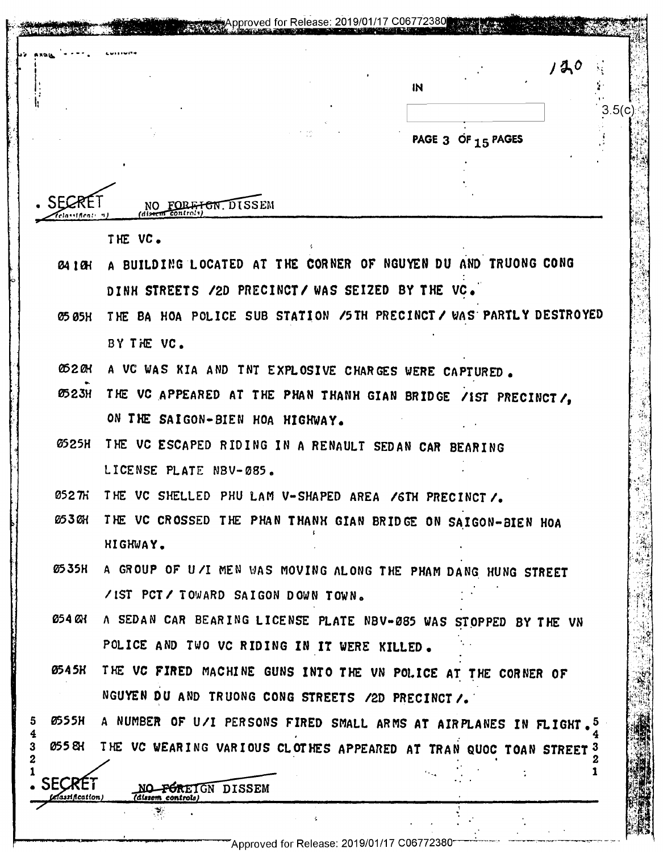|   |                                  | proved for Release: 2019/01/1                                                                       | C06772380 |                    |     |        |
|---|----------------------------------|-----------------------------------------------------------------------------------------------------|-----------|--------------------|-----|--------|
|   |                                  |                                                                                                     | IN        |                    | 120 |        |
|   |                                  |                                                                                                     |           | PAGE 3 OF 15 PAGES |     | 3.5(c) |
|   |                                  |                                                                                                     |           |                    |     |        |
|   |                                  | FORFIGN DISSEM<br>distrut controls                                                                  |           |                    |     |        |
|   |                                  | THE VC.                                                                                             |           |                    |     |        |
|   | 04 I CH                          | A BUILDING LOCATED AT THE CORNER OF NGUYEN DU AND TRUONG CONG                                       |           |                    |     |        |
|   |                                  | DINH STREETS /2D PRECINCT/ WAS SEIZED BY THE VC.                                                    |           |                    |     |        |
|   | <b>05 05H</b>                    | THE BA HOA POLICE SUB STATION / 5TH PRECINCT / WAS PARTLY DESTROYED                                 |           |                    |     |        |
|   |                                  | BY THE VC.                                                                                          |           |                    |     |        |
|   | <b>052 OH</b>                    | A VC WAS KIA AND TNT EXPLOSIVE CHARGES WERE CAPTURED.                                               |           |                    |     |        |
|   | <b>0523H</b>                     | THE VC APPEARED AT THE PHAN THANH GIAN BRIDGE /IST PRECINCT/,                                       |           |                    |     |        |
|   |                                  | ON THE SAIGON-BIEN HOA HIGHWAY.                                                                     |           |                    |     |        |
|   | <b>0525H</b>                     | THE VC ESCAPED RIDING IN A RENAULT SEDAN CAR BEARING                                                |           |                    |     |        |
|   |                                  | LICENSE PLATE NBV-085.                                                                              |           |                    |     |        |
|   | <i>のつと ハ</i>                     | THE VC SHELLED PHU LAM V-SHAPED AREA / GTH PRECINCT /.                                              |           |                    |     |        |
|   | 053 OH                           | THE VC CROSSED THE PHAN THANH GIAN BRIDGE ON SAIGON-BIEN HOA<br>HIGHWAY.                            |           |                    |     |        |
|   | 0535H                            |                                                                                                     |           |                    |     |        |
|   |                                  | A GROUP OF U/I MEN WAS MOVING ALONG THE PHAM DANG HUNG STREET<br>/IST PCT/ TOWARD SAIGON DOWN TOWN. |           |                    |     |        |
|   | 054 QX                           | A SEDAN CAR BEARING LICENSE PLATE NBV-085 WAS STOPPED BY THE VN                                     |           |                    |     |        |
|   |                                  | POLICE AND TWO VC RIDING IN IT WERE KILLED.                                                         |           |                    |     |        |
|   | 0545K                            | THE VC FIRED MACHINE GUNS INTO THE VN POLICE AT THE CORNER OF                                       |           |                    |     |        |
|   |                                  | NGUYEN DU AND TRUONG CONG STREETS /2D PRECINCT /.                                                   |           |                    |     |        |
|   | <b>0555H</b>                     | A NUMBER OF U/I PERSONS FIRED SMALL ARMS AT AIRPLANES IN FLIGHT.                                    |           |                    |     |        |
| 3 | 055 EX                           | THE VC WEARING VARIOUS CLOTHES APPEARED AT TRAN QUOC TOAN STREET 3                                  |           |                    |     |        |
|   | <b>SECRET</b><br>elassification) | NO FOREIGN DISSEM<br>(dissom controls)                                                              |           |                    |     |        |
|   |                                  |                                                                                                     |           |                    |     |        |
|   |                                  | Approved for Release: 2019/01/17 C06772380                                                          |           |                    |     |        |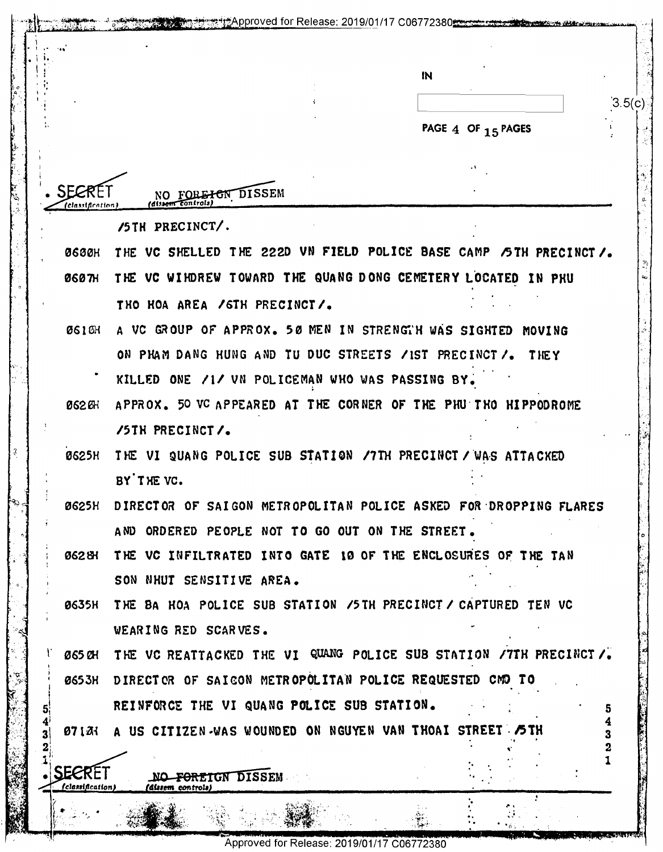|              | IN                                                                  |        |
|--------------|---------------------------------------------------------------------|--------|
|              |                                                                     | 3.5(c) |
|              | PAGE 4 OF 15 PAGES                                                  |        |
|              |                                                                     |        |
|              | <b>DISSEM</b><br><del>ICN</del>                                     |        |
|              | 'dissent control:                                                   |        |
|              | /5TH PRECINCT/.                                                     |        |
| <b>0600H</b> | THE VC SHELLED THE 222D VN FIELD POLICE BASE CAMP /5TH PRECINCT /.  |        |
| <b>0607H</b> | THE VC WIHDREW TOWARD THE QUANG DONG CEMETERY LOCATED IN PHU        |        |
|              | THO HOA AREA / GTH PRECINCT/.                                       |        |
| <b>0610H</b> | A VC GROUP OF APPROX. 50 MEN IN STRENGTH WAS SIGHTED MOVING         |        |
|              | ON PHAM DANG HUNG AND TU DUC STREETS / IST PRECINCT /. THEY         |        |
|              | KILLED ONE /1/ VN POLICEMAN WHO WAS PASSING BY.                     |        |
| <b>0620H</b> | APPROX. 50 VC APPEARED AT THE CORNER OF THE PHU THO HIPPODROME      |        |
|              | /5TH PRECINCT/.                                                     |        |
| <b>0625H</b> | THE VI QUANG POLICE SUB STATION /7TH PRECINCT / WAS ATTACKED        |        |
|              | BY THE VC.                                                          |        |
| 0625H        | DIRECTOR OF SAIGON METROPOLITAN POLICE ASKED FOR DROPPING FLARES    |        |
|              | AND ORDERED PEOPLE NOT TO GO OUT ON THE STREET.                     |        |
| 062 BH       | THE VC INFILTRATED INTO GATE 10 OF THE ENCLOSURES OF THE TAN        |        |
|              | SON NHUT SENSITIVE AREA.                                            |        |
| 0635H        | THE BA HOA POLICE SUB STATION /5TH PRECINCT / CAPTURED TEN VC       |        |
|              | WEARING RED SCARVES.                                                |        |
| 065 CH       | THE VC REATTACKED THE VI QUANG POLICE SUB STATION / 7TH PRECINCT /. |        |
| <b>0653H</b> | DIRECTOR OF SAICON METROPOLITAN POLICE REQUESTED CMD TO             |        |
|              | REINFORCE THE VI QUANG POLICE SUB STATION.                          | 5.     |
|              | 071A: A US CITIZEN-WAS WOUNDED ON NGUYEN VAN THOAI STREET STH       |        |
|              |                                                                     |        |
| SEERET       | <del>FOREIGN D</del> ISSEM<br>(classification)<br>(dissem controls) |        |

 $\begin{bmatrix} 8 \\ 1 \end{bmatrix}$ 

 $\left[ \begin{smallmatrix} 3 \end{smallmatrix} \right]$ 

 $\mathbb{R}$ 

Approved for Release: 2019/01/17 C06772380

تراكلت

**BEECHTER**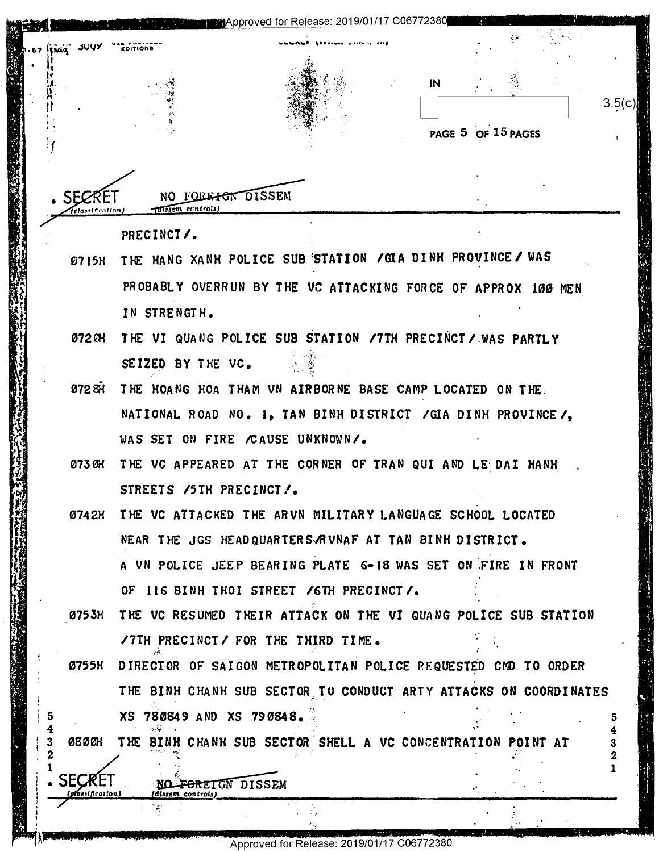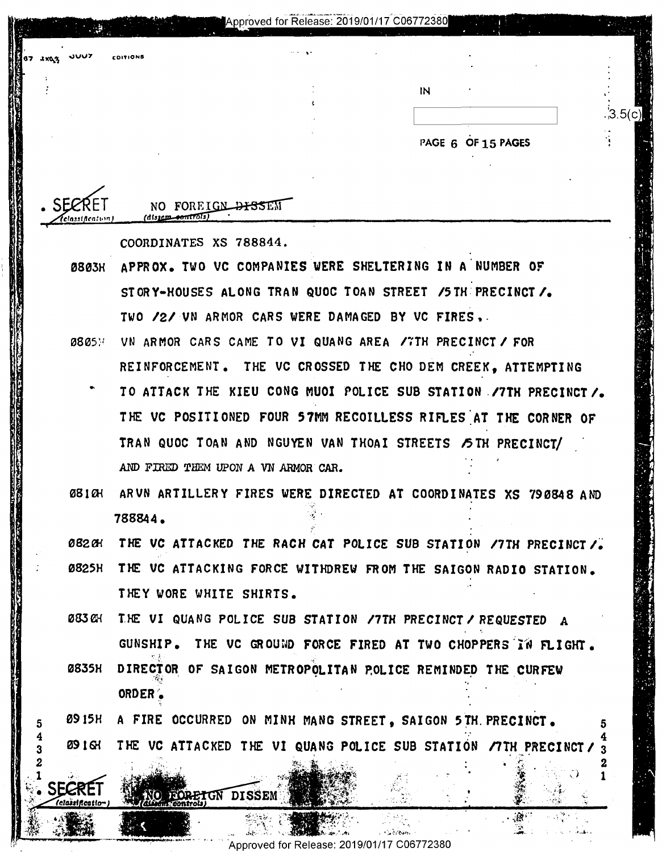| 67 <i>1903</i> | JUUZ | <b>COITIONS</b>                  |                | $\cdots$ |    |                    |                |
|----------------|------|----------------------------------|----------------|----------|----|--------------------|----------------|
|                |      |                                  |                |          |    |                    |                |
|                |      |                                  |                |          | IN |                    |                |
|                |      |                                  |                |          |    |                    | $\cdot$ 3.5(c) |
|                |      |                                  |                |          |    | PAGE 6 OF 15 PAGES |                |
|                |      |                                  |                |          |    |                    |                |
|                |      |                                  |                |          |    |                    |                |
| . ১            |      | <b>NO</b><br>$A$ lasom sontrola) | FOREIGN DISSEM |          |    |                    |                |

Approved for Release: 2019/01/17 C06772380

COORDINATES XS 788844.

SEGRET

- APPROX. TWO VC COMPANIES WERE SHELTERING IN A NUMBER OF **0803H** STORY-HOUSES ALONG TRAN QUOC TOAN STREET /5 THE PRECINCT /. TWO /2/ UN ARMOR CARS WERE DAMAGED BY VC FIRES.
- 0805H VN ARMOR CARS CAME TO VI QUANG AREA /7TH PRECINCT / FOR REINFORCEMENT. THE VC CROSSED THE CHO DEM CREEK. ATTEMPTING
	- TO ATTACK THE KIEU CONG MUOI POLICE SUB STATION /7TH PRECINCT/. THE VC POSITIONED FOUR 57MM RECOILLESS RIFLES AT THE CORNER OF TRAN QUOC TOAN AND NGUYEN VAN THOAI STREETS STH PRECINCT/ AND FIRED THEM UPON A VN ARMOR CAR.
- ARVN ARTILLERY FIRES WERE DIRECTED AT COORDINATES XS 79 0848 AND 08 I AH 788844.

082.OH THE VC ATTACKED THE RACH CAT POLICE SUB STATION /7TH PRECINCT/.

- Ø825H THE VC ATTACKING FORCE WITHDREW FROM THE SAIGON RADIO STATION. THEY WORE WHITE SHIRTS.
- **083 OH** THE VI QUANG POLICE SUB STATION /7TH PRECINCT / REQUESTED A GUNSHIP. THE VC GROUND FORCE FIRED AT TWO CHOPPERS IN FLIGHT.
- **0835H** DIRECTOR OF SAIGON METROPOLITAN POLICE REMINDED THE CURFEW ORDER<sup>2</sup>
- **09 15H** A FIRE OCCURRED ON MINH MANG STREET. SAIGON 5TH. PRECINCT. **09 I GY** THE VC ATTACKED THE VI QUANG POLICE SUB STATION /7TH PRECINCT/

O FORETGN DISSEM

5

2

 $\mathbf{1}$ 

 $\zeta$ 

⇒Ž.

Approved for Release: 2019/01/17 C06772380

**COMMA**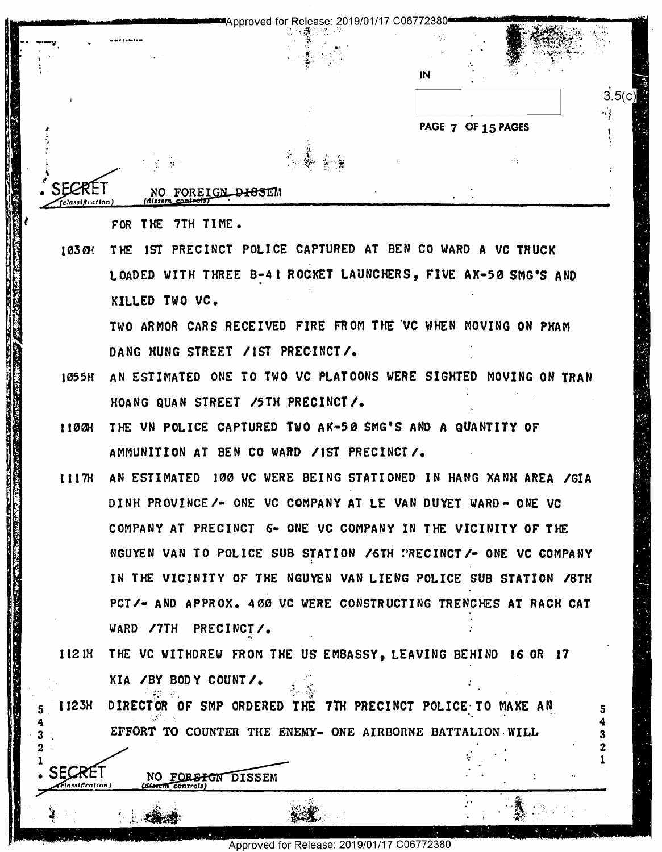--.-.. -.-,,-------\_M·, .... v,·•-----•Approved fo~,R~ii~sr.'.019/01 /17 C0677238o------,-t·•·-~"~·:;,;,·;f·,i.-Y~--: ,-\i\_-:~- Approved for Release: 2019/01/17 <sup>006772380</sup> ' -- '\_ \_ .11 "§gr" . <sup>3</sup> <sup>I</sup> ' <sup>f</sup> 1;. h. ' '

 $\mathbb{R}$  :  $\mathbb{R}$ 

l -· - '" ... ::·'r~.- ~:-,.

IN

**IN IN IN** 

**PAGE** 7 OF 15 **PAGES**  7 PAGE 7 OF 15 PAGES ,

NO FOREI dlm1111 NOW-1 - , 3 .'  $\frac{1}{1}$ 

FOR THE 7TH TIME.

•:

' *I* 

in: :5 3 : I 2'5 r3."

:1. " .  $\mathbf{a}$  is the set of  $\mathbf{a}$ II II: 'I k $1 \times 1$  '55.:  $\delta$  U/I  $\,$ . 8: . 2: l'; :1: l 11'}: "I" :{4 I. I J a na <sup>I</sup> I

El 2 "

1

/

*t* 

{c.'aulflmm

1

I '

1030H THE IST PRECINCT POLICE CAPTURED AT BEN CO WARD A VC TRUCK LOADED WITH THREE B-41 ROCKET LAUNCHERS, FIVE AK-50 SMG'S AND KILLED TWO VC, KILLED TVO VC.

TWO ARMOR CARS RECEIVED FIRE FROM THE ·vc WHEN MOVING ON PHAM TVO ARMOR CARS RECEIVED FIRE FROM THE'VC NNEN MOVING ON PRAM DANG HUNG STREET /IST PRECINCT/.

- 1055H AN ESTIMATED ONE TO TWO VC PLATOONS WERE SIGHTED MOVING ON TRAN IOSSR- AN ESTIMATED ONE TO Two VC PLATOONS VERE SIGHTED MOVING 0N TRAN HOANG QUAN STREET /5TH PRECINCT/.
- 110£!{ THE VN POLICE CAPTURED **TWO AK-50** \$MG'S AND A QUANTITY OF 1100K THE VN POLICE CAPTURED TVO AK-SD SMG'S AND A QUANTITY OF AMMUNITION AT BEN CO WARD /IST PRECINCT/.
- **1117H AN ESTIMATED 100 VC WERE BEING STATIONED IN HANG XANH AREA /GIA**  $\qquad$ DINH PROVINCE/- ONE VC COMPANY AT LE VAN DUYET WARD- ONE VC COMPANY AT PRECINCT 6- ONE VC COMPANY IN THE VICINITY OF THE THE NGUYEN VAN TO POLICE SUB STATION /6TH PRECINCT/- ONE VC COMPANY IN THE VICINITY OF THE NGUYEN VAN LIENG POLICE SUB STATION /8TH PCT/- AND APPROX. 400 VC WERE CONSTRUCTING TRENCHES AT RACH CAT WARD /7TH PRECINCT/. 1 "k:- '71- -.-'-\_\_ an 1. -1 .. 71; :;.T ; ~ - ' - .. -.1-.- - - '- -' T - — ' -=-- -- 9' . - . ' .. \*- -- -. w-.-. .\_ -. \_\_ - -..1\_.1...- . . '.\_. ..:-,-I\_§.x'-.-c;-,;'.-\_.\_.-\_ .\_ . \_\_.\_' '- .1 ' Hzmggww;pfigmfl%y fifiW'fi'éfi'm .. i 4:.- \_ ,1 1.11.1" :' . \_\_\_..\_... \_~.:'r-— .. :1" -\_\_.. , .\_ \_  $1117H$ **LAND CONTROL** 
	- **112 IH THE VC WITHDREW FROM THE US EMBASSY, LEAVING BEHIND 16 OR 17** KIA /BY BODY COUNT/.  $\mathcal{L}$ • *'-J• r"* . ~\';:• i,. A' •, • ~· :~
- 5 I 123H DIRECTOR OF SMP ORDERED THE 7TH PRECINCT POLICE TO MAKE AN  $\frac{4}{3}$ <br>EFFORT TO COUNTER THE ENEMY- ONE AIRBORNE BATTALION WILL  $\begin{array}{cccc} 4 & 4 & 4 & 4 & 4 & 4 & 4 & 4 & 2 & 2 & 2 & 1 & 2 & 1 & 2 & 1 & 2 & 1 & 2 & 2 & 2 & 2 & 2 & 2 & 2 & 2 &$  $\frac{13}{3}$   $\frac{1}{3}$  EFFORT TO COUNTER THE ENEMY- ONE AIRBORNE BATTALION WILL 1123H

and the state of the state of the state of the state of the state of the state of the state of the

controls SECRET NO FOREFON DISSEM Flassification) (d<del>istem controls</del>)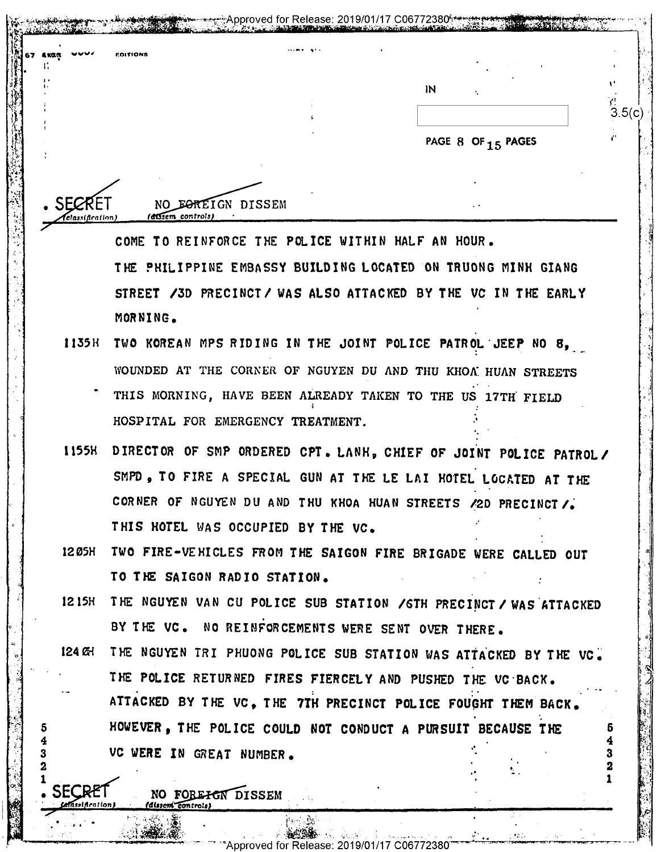| <b>制。</b><br>www.<br><b>ROITIONS</b><br>AKOQ |                   |                               |        |
|----------------------------------------------|-------------------|-------------------------------|--------|
|                                              |                   |                               |        |
|                                              |                   | $\overline{M}$                |        |
|                                              |                   |                               | 3.5(c) |
|                                              |                   |                               |        |
|                                              |                   | PAGE 8 OF <sub>15</sub> PAGES |        |
|                                              |                   |                               |        |
|                                              |                   |                               |        |
|                                              |                   |                               |        |
| . SECRE                                      | NO FOREIGN DISSEM |                               |        |
| (dissem controls)<br>Aclassification)        |                   |                               |        |

 $\mathbb{C}^4$  the philippine embassy building located on truong minh giang  $\begin{array}{|c|c|c|c|c|}\hline \end{array}$ STREET /3D PRECINCT/ WAS ALSO ATTACKED BY THE VC IN THE EARLY  $\begin{bmatrix} 1 & 1 & 1 \\ 1 & 1 & 1 \end{bmatrix}$ MORNING. NORNING. THE CONSTRUCTION OF A CONSTRUCTION OF A CONSTRUCTION OF A CONSTRUCTION OF A CONSTRUCTION OF A CONSTRUCTION OF A CONSTRUCTION OF A CONSTRUCTION OF A CONSTRUCTION OF A CONSTRUCTION OF A CONSTRUCTION OF A CONSTRUCTIO THE PHILIPPINE EMBASSY BUILDING LOCATED ON TRUONG MINK GIANG<br>
THE PHILIPPINE EMBASSY BUILDING LOCATED ON TRUONG MINK GIANG<br>
STREET /3D PRECINCT/ WAS ALSO ATTACKED BY THE VC IN THE EARLY<br>
MORNING.<br>
1135H TWO KOREAN MPS RIDI

- 1135H TWO KOREAN MPS RIDING IN THE JOINT POLICE **PATROL"JEEP** NO 8, WOUNDED AT THE CORNER OF NGUYEN DU AND THU KHOA HUAN STREETS THIS MORNING, HAVE BEEN ALREADY TAKEN TO THE US 17TH FIELD **I**  $\left[\begin{matrix} 1 & 1 & 1 \ 1 & 1 & 1 \end{matrix}\right]$  is the HOSPITAL FOR EMERGENCY TREATMENT.  $\mathbf{I}$ \_. -
- ll55H DIRECTOR OF SM? ORDERED **CPT.** LANH, CHIEF **OF JOI°NT POLICE PATROL/**  IISSH DIRECTOR OF SMP ORDERED OPT. LANH, CHIEF OF JOINT POLICE PATROL/' F' SMPD, TO FIRE A SPECIAL GUN AT THE LE LAI HOTEL LOCATED AT THE  $\begin{bmatrix} 1 & 1 & 1 & 1 \\ 1 & 1 & 1 & 1 & 1 \\ 1 & 1 & 1 & 1 & 1 \\ 1 & 1 & 1 & 1 & 1 \\ 1 & 1 & 1 & 1 & 1 \\ 1 & 1 & 1 & 1 & 1 \\ 1 & 1 & 1 & 1 & 1 \\ 1 & 1 & 1 & 1 & 1 \\ 1 & 1 & 1 & 1 & 1 \\ 1 & 1 & 1 & 1 & 1 \\ 1 &$ CORNER OF NGUYEN DU AND THU KHOA HUAN STREETS /2D PRECINCT / THIS HOTEL WAS OCCUPIED BY THE VC. I '9 11338 DIRECTOR OF SMP ORDERED CPI. LANN, CHEF OF JOINT PO<br>
SMPD, TO FIRE A SPECIAL GUN AT THE LE LAI HOTEL LOCA<br>
CORNER OF NGUYEN DU AND THU KHOA HUAN STREETS /2D PR<br>
THIS HOTEL WAS OCCUPIED BY THE VC.<br>
1205H TWO FIRE-VEHI
- $\|\cdot\|$  1205H TWO FIRE-VEHICLES FROM THE SAIGON FIRE BRIGADE WERE CALLED OUT  $\|\cdot\|$ **TO THE SAIGON RADIO STATION.**  TO THE SAIGON RADIO STATION. '
- $\frac{3}{4}$  1215H THE NGUYEN VAN CU POLICE SUB STATION / GTH PRECINCT / WAS ATTACKED BY THE VC. NO REINFORCEMENTS WERE SENT OVER THERE. '' and 'n bestelling of the second second to the second second second second second second second second second second second second second second second second second second second second second second second second secon
- 124 & THE NGUYEN TRI PHUONG POLICE SUB STATION WAS ATTACKED BY THE VC. THE POLICE RETURNED FIRES FIERCELY AND PUSHED THE VC BACK. ATTACKED BY THE VC, THE 7TH PRECINCT POLICE FOUGHT THEM BACK. 5 MOWEVER, THE POLICE COULD NOT CONDUCT A PURSUIT BECAUSE THE  $\begin{bmatrix} 5 \end{bmatrix}$ SUIT A VIOLET EN GREAT NUMBER. .• THE POLICE RETURNED FIRES FIERCELY AND PUSHED THE VC BACK.  $\sim$   $\sim$   $\sim$   $\sim$   $\sim$   $\sim$   $\sim$ '' '' '' '' <sup>I</sup> E's-if; . ' ' - unfit-Orion) -' Mine" controls) .; ' Plume-ar'

:~~i:if'•:Jt , ," .~. ',-, C, " ', , ·~'" , . *n~-~.,,\_;•* ;,.:,,\_,~· ,\_.~ ... \_\_\_.,.,,,-...,\_,.,,........,,.\_\_,\_,,\_-,-- ....\_\_..,.\_,\_,\_ \_ \_\_\_\_,......,.%' • -· .. ~". -:- -'# ~-rcApproved for Release: 2019/01/17 C06772380 '""'- ..... · .\_., 4

""""ApOTOvedTOTRBIBSBI2315/01)1'71'6'616'7'7'2é80'ffimm4';""""'"""W: 'WW' 1

 $\mathcal{L} = \mathcal{L}$ 

,,.

I  $\cdot$  ,

. A.' .-.. 5......\_.\_.-... \_\_-\_-\_'-

!

i<br>I<br>I<br>I<br>I

 $\mathcal{A}$ ,I I

 $SEGRET$  NO FOREFON DISSEM

\_ .-i 1 ' p '1'. - 2'. - 2'. - 2'. - 2'. - 2'. - 2'. - 2'. - 2'. - 2'. - 2'. - 2'. - 2'. - 2'. - 2'. - 2'. - 2'. - 2'. -\_ . 9&'°~€"\_'. 3: 3%; £§'.;\_1rl,.'-l:-:ijl . . 'F'II'I T'III'I T'III T'III'I T'III T'III T'III T'III T'III T'III T'III T'III T'III T'III T'III T'III T'III T'

. . . <sup>a</sup> . , 'hm' <sup>I</sup> ' PL" .' ,.. '.

dissem controls

I'

--

'

 $\overline{\phantom{a}}$ 

"'

1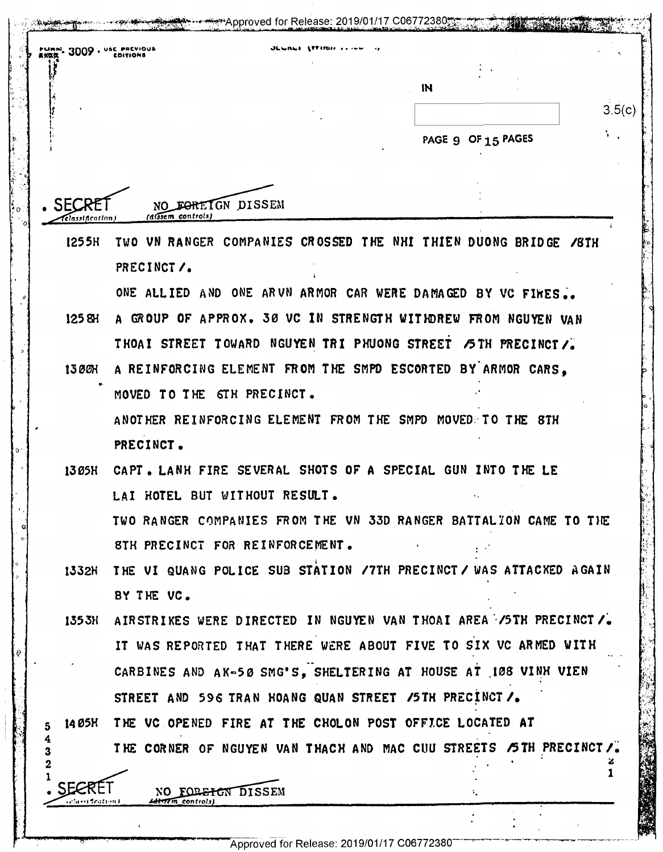|                       | $2009.$ URN. 3009 . USE PREVIOUS                                   |                    |        |
|-----------------------|--------------------------------------------------------------------|--------------------|--------|
|                       |                                                                    | IN                 | 3.5(c) |
|                       |                                                                    | PAGE 9 OF 15 PAGES | ъ.,    |
|                       |                                                                    |                    |        |
| <i>classification</i> | NO FOREIGN DISSEM<br>(dissem_controls)                             |                    |        |
| 1255H                 | TWO VN RANGER COMPANIES CROSSED THE NHI THIEN DUONG BRIDGE /8TH    |                    |        |
|                       | PRECINCT/.                                                         |                    |        |
|                       | ONE ALLIED AND ONE ARVN ARMOR CAR WERE DAMAGED BY VC FIRES.        |                    |        |
| 1258H                 | A GROUP OF APPROX. 30 VC IN STRENGTH WITHDREW FROM NGUYEN VAN      |                    |        |
|                       | THOAI STREET TOWARD NGUYEN TRI PHUONG STREET /5TH PRECINCT/.       |                    |        |
| 1300H                 | A REINFORCING ELEMENT FROM THE SMPD ESCORTED BY ARMOR CARS,        |                    |        |
|                       | MOVED TO THE STH PRECINCT.                                         |                    |        |
|                       | ANOTHER REINFORCING ELEMENT FROM THE SMPD MOVED. TO THE 8TH        |                    |        |
|                       | PRECINCT.                                                          |                    |        |
| 1305H                 | CAPT. LANH FIRE SEVERAL SHOTS OF A SPECIAL GUN INTO THE LE         |                    |        |
|                       | LAI HOTEL BUT WITHOUT RESULT.                                      |                    |        |
|                       | TWO RANGER COMPANIES FROM THE VN 33D RANGER BATTALION CAME TO THE  |                    |        |
|                       | STH PRECINCT FOR REINFORCEMENT.                                    |                    |        |
| 1332H                 | THE VI QUANG POLICE SUB STATION /7TH PRECINCT / WAS ATTACKED AGAIN |                    |        |
|                       | BY THE VC.                                                         |                    |        |
| 135 3H                | AIRSTRIKES WERE DIRECTED IN NGUYEN VAN THOAI AREA /5TH PRECINCT /. |                    |        |
|                       | IT WAS REPORTED THAT THERE WERE ABOUT FIVE TO SIX VC ARMED WITH    |                    |        |
|                       | CARBINES AND AK-50 SMG'S, SHELTERING AT HOUSE AT 108 VINH VIEN     |                    |        |
|                       | STREET AND 596 TRAN HOANG QUAN STREET /5TH PRECINCT /.             |                    |        |
| 14 Ø5X                | THE VC OPENED FIRE AT THE CHOLON POST OFFICE LOCATED AT            |                    |        |
| 4                     | THE CORNER OF NGUYEN VAN THACH AND MAC CUU STREETS /5TH PRECINCT/. |                    |        |
|                       |                                                                    |                    |        |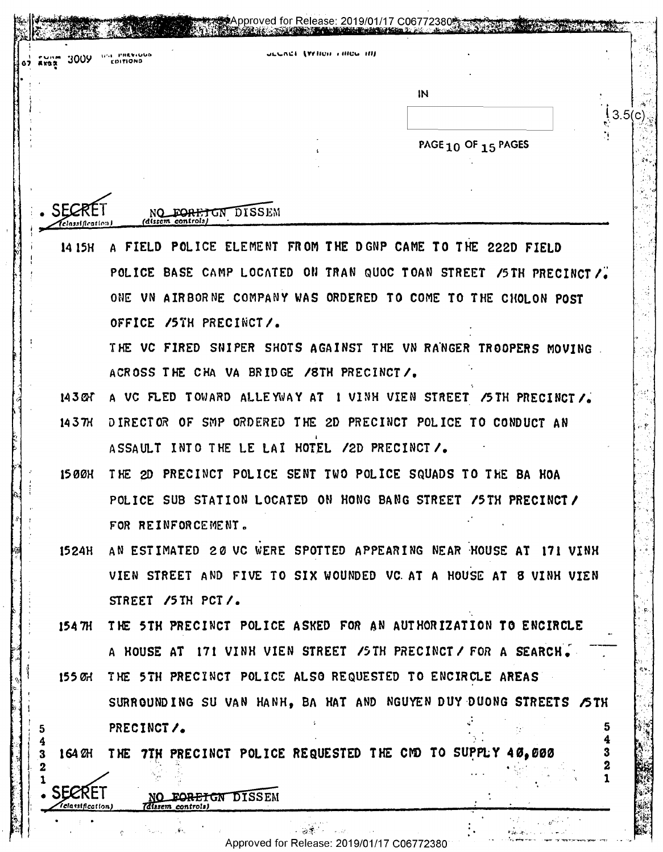| 3009            | <b>WHE PREVIOUS</b><br><b>COITIONS</b> | <b>ULCACE (VEHOR FIRED TH)</b>                             |                                                                    |
|-----------------|----------------------------------------|------------------------------------------------------------|--------------------------------------------------------------------|
|                 |                                        |                                                            | IN                                                                 |
|                 |                                        |                                                            |                                                                    |
|                 |                                        |                                                            | PAGE 10 OF 15 PAGES                                                |
|                 |                                        |                                                            |                                                                    |
|                 |                                        |                                                            |                                                                    |
| elassification. | (dissem controls)                      | FOREIGN DISSEM                                             |                                                                    |
| 14 15H          |                                        |                                                            | A FIELD POLICE ELEMENT FROM THE DGNP CAME TO THE 222D FIELD        |
|                 |                                        |                                                            | POLICE BASE CAMP LOCATED ON TRAN QUOC TOAN STREET /5TH PRECINCT /  |
|                 |                                        |                                                            | ONE VN AIRBORNE COMPANY WAS ORDERED TO COME TO THE CHOLON POST     |
|                 | OFFICE /5TH PRECINCT/.                 |                                                            |                                                                    |
|                 |                                        |                                                            | THE VC FIRED SNIPER SHOTS AGAINST THE VN RANGER TROOPERS MOVING    |
|                 |                                        | ACROSS THE CHA VA BRIDGE /8TH PRECINCT/.                   |                                                                    |
| 143CM           |                                        |                                                            | A VC FLED TOWARD ALLEYWAY AT I VINH VIEN STREET /5TH PRECINCT/.    |
| 1437H           |                                        |                                                            | DIRECTOR OF SMP ORDERED THE 2D PRECINCT POLICE TO CONDUCT AN       |
|                 |                                        | ASSAULT INTO THE LE LAI HOTEL /2D PRECINCT /.              |                                                                    |
| 15 O Ø H        |                                        |                                                            | THE 2D PRECINCT POLICE SENT TWO POLICE SQUADS TO THE BA HOA        |
|                 |                                        |                                                            | POLICE SUB STATION LOCATED ON HONG BANG STREET /5TH PRECINCT/      |
|                 | FOR REINFORCEMENT.                     |                                                            |                                                                    |
| 1524H           |                                        |                                                            | AN ESTIMATED 20 VC WERE SPOTTED APPEARING NEAR HOUSE AT 171 VINH   |
|                 |                                        |                                                            | VIEN STREET AND FIVE TO SIX WOUNDED VC AT A HOUSE AT 8 VINH VIEN   |
|                 | STREET /5TH PCT/.                      |                                                            |                                                                    |
| 154 TH          |                                        |                                                            | THE 5TH PRECINCT POLICE ASKED FOR AN AUTHORIZATION TO ENCIRCLE     |
|                 |                                        |                                                            | A HOUSE AT 171 VINH VIEN STREET / STH PRECINCT / FOR A SEARCH.     |
| 155 ØH          |                                        |                                                            | THE 5TH PRECINCT POLICE ALSO REQUESTED TO ENCIRCLE AREAS           |
|                 |                                        |                                                            | SURROUNDING SU VAN HANH, BA HAT AND NGUYEN DUY DUONG STREETS / 5TH |
|                 | PRECINCT/.                             |                                                            |                                                                    |
|                 |                                        | 164 2H THE 7TH PRECINCT POLICE REQUESTED THE CMD TO SUPPLY | 40.000                                                             |
|                 |                                        |                                                            |                                                                    |

SECRET NO FORET GN DISSEM ISSEM'

t  $\frac{1}{2}$   $\sqrt{1}$  classification)

ģ

·'' · dl,:'f. · t'.-f·--•t· .. ' Approved for Release: 2019/01/17 C06772380 Approved forRelease: 2019/01/17 006772380" ' " " "'""' '\*""'""'-'"TT="T -'

ur :<br>Paleita e concerta de la provincia<br>Santana e como a provincia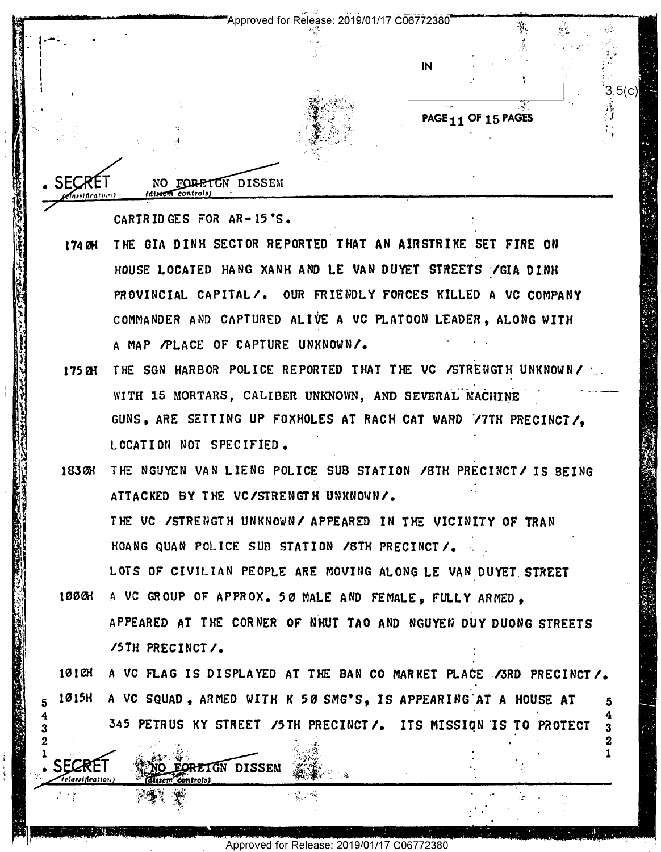Approved for Release: 2019/01/17 C06772380

 $IN$ 

PAGE<sub>11</sub> OF 15 PAGES

 $3.5(c)$ 

2 1

NO FORETON DISSEM

fasst Acatium I

eddeation

CARTRIDGES FOR AR-15'S.

NO EORETGN DISSEM

 $\epsilon$ ontrola)

- THE GIA DINH SECTOR REPORTED THAT AN AIRSTRIKE SET FIRE ON 174 CH HOUSE LOCATED HANG XANH AND LE VAN DUYET STREETS / GIA DINH PROVINCIAL CAPITAL/. OUR FRIENDLY FORCES KILLED A VC COMPANY COMMANDER AND CAPTURED ALIVE A VC PLATOON LEADER. ALONG WITH A MAP /PLACE OF CAPTURE UNKNOWN/.
- 175 M THE SGN HARBOR POLICE REPORTED THAT THE VC /STRENGTH UNKNOWN/ WITH 15 MORTARS, CALIBER UNKNOWN, AND SEVERAL MACHINE GUNS, ARE SETTING UP FOXHOLES AT RACH CAT WARD 77TH PRECINCT/. LCCATION NOT SPECIFIED.
- THE NGUYEN VAN LIENG POLICE SUB STATION / 8TH PRECINCT/ IS BEING 1830H ATTACKED BY THE VC/STRENGTH UNKNOWN/. THE VC /STRENGTH UNKNOWN/ APPEARED IN THE VICINITY OF TRAN HOANG QUAN POLICE SUB STATION /STH PRECINCT/. LOTS OF CIVILIAN PEOPLE ARE MOVING ALONG LE VAN DUYET STREET

100 GH A VC GROUP OF APPROX. 50 MALE AND FEMALE, FULLY ARMED, APPEARED AT THE CORNER OF NHUT TAO AND NGUYEN DUY DUONG STREETS /5TH PRECINCT/.

10 I CH A VC FLAG IS DISPLAYED AT THE BAN CO MARKET PLACE / SRD PRECINCT /. 1015H A VC SQUAD, ARMED WITH K 50 SMG'S, IS APPEARING AT A HOUSE AT  $\mathbf{5}$ 345 PETRUS KY STREET /5TH PRECINCT/. ITS MISSION IS TO PROTECT 3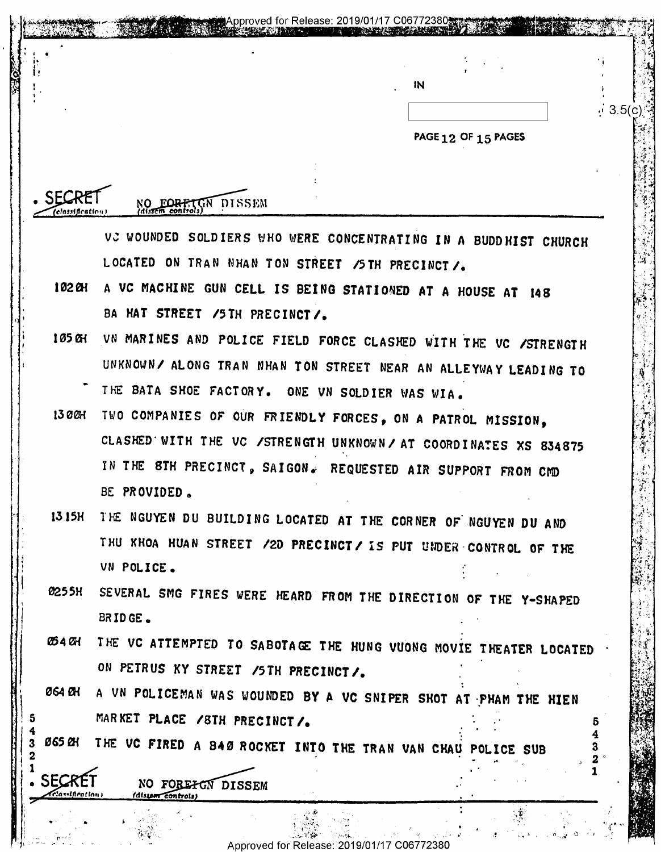|                   |                                                               | IN                                                                | $\cdot$ 3.5(c) |  |  |
|-------------------|---------------------------------------------------------------|-------------------------------------------------------------------|----------------|--|--|
|                   |                                                               | PAGE 12 OF 15 PAGES                                               |                |  |  |
|                   |                                                               |                                                                   |                |  |  |
|                   |                                                               |                                                                   |                |  |  |
| (classification ) | GN DISSEM<br>NO FORETT                                        |                                                                   |                |  |  |
|                   |                                                               | VC WOUNDED SOLDIERS WHO WERE CONCENTRATING IN A BUDDHIST CHURCH   |                |  |  |
|                   | LOCATED ON TRAN NHAN TON STREET /5TH PRECINCT /.              |                                                                   |                |  |  |
| 102 OH            |                                                               | A VC MACHINE GUN CELL IS BEING STATIONED AT A HOUSE AT 148        |                |  |  |
|                   | BA HAT STREET /5TH PRECINCT/.                                 |                                                                   |                |  |  |
| 105 QH            |                                                               | VN MARINES AND POLICE FIELD FORCE CLASHED WITH THE VC /STRENGTH   |                |  |  |
|                   |                                                               | UNKNOWN/ ALONG TRAN NHAN TON STREET NEAR AN ALLEYWAY LEADING TO   |                |  |  |
|                   | THE BATA SHOE FACTORY. ONE VN SOLDIER WAS WIA.                |                                                                   |                |  |  |
| 130CH             |                                                               | TWO COMPANIES OF OUR FRIENDLY FORCES, ON A PATROL MISSION,        |                |  |  |
|                   |                                                               | CLASHED WITH THE VC /STRENGTH UNKNOWN/ AT COORDINATES XS 834875   |                |  |  |
|                   |                                                               | IN THE STH PRECINCT, SAIGON. REQUESTED AIR SUPPORT FROM CMD       |                |  |  |
|                   | BE PROVIDED.                                                  |                                                                   |                |  |  |
| 13 15H            | THE NGUYEN DU BUILDING LOCATED AT THE CORNER OF NGUYEN DU AND |                                                                   |                |  |  |
|                   | VN POLICE.                                                    | THU KHOA HUAN STREET /2D PRECINCT/ IS PUT UNDER CONTROL OF THE    |                |  |  |
| 0255H             |                                                               |                                                                   |                |  |  |
|                   | BRIDGE.                                                       | SEVERAL SMG FIRES WERE HEARD FROM THE DIRECTION OF THE Y-SHAPED   |                |  |  |
| 054 OH            |                                                               | THE VC ATTEMPTED TO SABOTAGE THE HUNG VUONG MOVIE THEATER LOCATED |                |  |  |
|                   | ON PETRUS KY STREET /5TH PRECINCT/.                           |                                                                   |                |  |  |
| 064 BH            |                                                               | A VN POLICEMAN WAS WOUNDED BY A VC SNIPER SHOT AT PHAM THE HIEN   |                |  |  |
|                   | MARKET PLACE /8TH PRECINCT/.                                  |                                                                   |                |  |  |
| <b>065 CH</b>     |                                                               | THE VC FIRED A BAØ ROCKET INTO THE TRAN VAN CHAU POLICE SUB       |                |  |  |
| <b>SECR</b>       |                                                               |                                                                   |                |  |  |
| Telawification)   | NO FOREFON DISSEM<br>(distem controls)                        |                                                                   |                |  |  |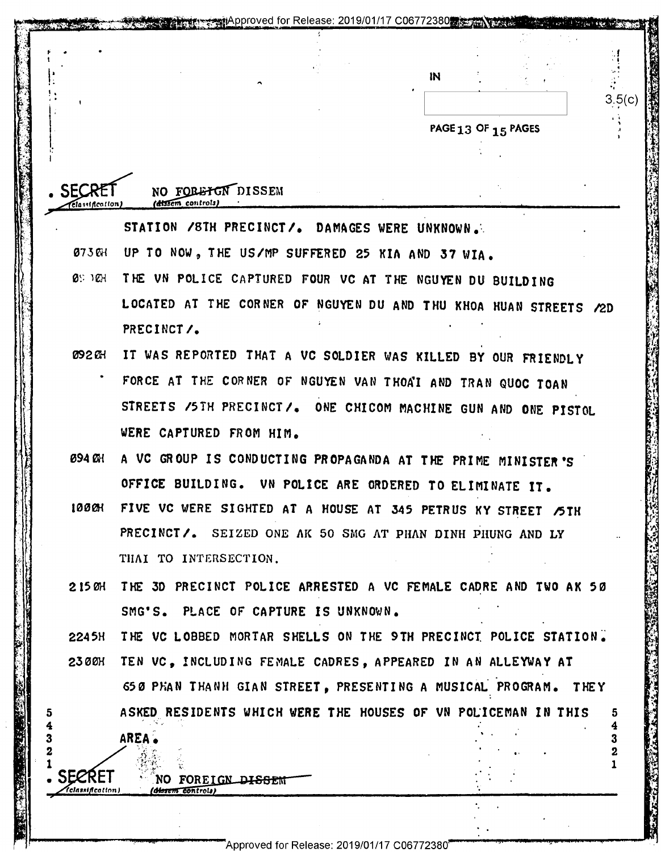|                                                 |                                                                  | IN |                     |        |
|-------------------------------------------------|------------------------------------------------------------------|----|---------------------|--------|
|                                                 |                                                                  |    |                     | 3.5(c) |
|                                                 |                                                                  |    | PAGE 13 OF 15 PAGES |        |
|                                                 |                                                                  |    |                     |        |
|                                                 |                                                                  |    |                     |        |
| <b>SEC</b><br><i><b>Classification</b></i>      | NO FORETGN DISSEM<br>t <del>álskem</del> controls                |    |                     |        |
|                                                 | STATION /8TH PRECINCT/. DAMAGES WERE UNKNOWN.                    |    |                     |        |
| 073 OH                                          | UP TO NOW, THE US/MP SUFFERED 25 KIA AND 37 WIA.                 |    |                     |        |
| <b>0</b> 5 JEH                                  | THE VN POLICE CAPTURED FOUR VC AT THE NGUYEN DU BUILDING         |    |                     |        |
|                                                 | LOCATED AT THE CORNER OF NGUYEN DU AND THU KHOA HUAN STREETS /2D |    |                     |        |
|                                                 | PRECINCT/.                                                       |    |                     |        |
| 092 CH                                          | IT WAS REPORTED THAT A VC SOLDIER WAS KILLED BY OUR FRIENDLY     |    |                     |        |
|                                                 | FORCE AT THE CORNER OF NGUYEN VAN THOA'I AND TRAN QUOC TOAN      |    |                     |        |
|                                                 | STREETS /5TH PRECINCT/. ONE CHICOM MACHINE GUN AND ONE PISTOL    |    |                     |        |
|                                                 | WERE CAPTURED FROM HIM.                                          |    |                     |        |
| 094 OH                                          | A VC GROUP IS CONDUCTING PROPAGANDA AT THE PRIME MINISTER'S      |    |                     |        |
|                                                 | OFFICE BUILDING. VN POLICE ARE ORDERED TO ELIMINATE IT.          |    |                     |        |
| 1000H                                           | FIVE VC WERE SIGHTED AT A HOUSE AT 345 PETRUS KY STREET /5TH     |    |                     |        |
|                                                 | PRECINCT/. SEIZED ONE AK 50 SMG AT PHAN DINH PHUNG AND LY        |    |                     |        |
|                                                 | THAI TO INTERSECTION.                                            |    |                     |        |
| 215 OH                                          | THE 3D PRECINCT POLICE ARRESTED A VC FEMALE CADRE AND TWO AK 50  |    |                     |        |
|                                                 | SMG'S. PLACE OF CAPTURE IS UNKNOWN.                              |    |                     |        |
| <b>2245H</b>                                    | THE VC LOBBED MORTAR SHELLS ON THE 9TH PRECINCT POLICE STATION.  |    |                     |        |
| 2300H                                           | TEN VC, INCLUDING FEMALE CADRES, APPEARED IN AN ALLEYWAY AT      |    |                     |        |
|                                                 | 650 PHAN THANH GIAN STREET, PRESENTING A MUSICAL PROGRAM. THEY   |    |                     |        |
|                                                 | ASKED RESIDENTS WHICH WERE THE HOUSES OF VN POLICEMAN IN THIS    |    |                     | 5      |
|                                                 | AREA.                                                            |    |                     | 4<br>3 |
|                                                 |                                                                  |    |                     |        |
| <b>SECRET</b><br><i><b>Telassification)</b></i> | NO FOREIGN DISSEM<br>(d <del>issem con</del> trols)              |    |                     |        |
|                                                 |                                                                  |    |                     |        |

"M"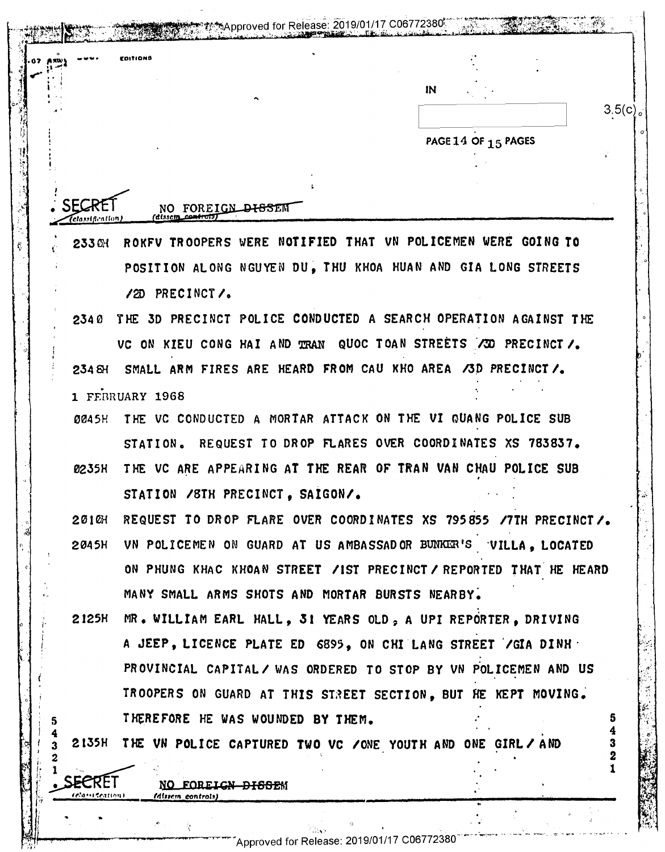|                | EDITIONS                                                       |                                                                  |
|----------------|----------------------------------------------------------------|------------------------------------------------------------------|
|                |                                                                | IN                                                               |
|                |                                                                | 3.5(c)                                                           |
|                |                                                                | PAGE 14 OF 15 PAGES                                              |
|                |                                                                |                                                                  |
|                |                                                                |                                                                  |
| elassification | NO FOREIGN <del>DISSE</del> M<br>(dissem_co <del>ntrol</del> s |                                                                  |
| 233 CH         | ROKFU TROOPERS WERE<br>NOTIFIED                                | THAT VN POLICEMEN WERE GOING TO                                  |
|                |                                                                | POSITION ALONG NGUYEN DU, THU KHOA HUAN AND GIA LONG STREETS     |
|                | /2D PRECINCT/.                                                 |                                                                  |
| 2340           |                                                                | THE 3D PRECINCT POLICE CONDUCTED A SEARCH OPERATION AGAINST THE  |
|                |                                                                | VC ON KIEU CONG HAI AND TRAN QUOC TOAN STREETS /3D PRECINCT /.   |
| 234 &          | SMALL ARM FIRES ARE HEARD FROM CAU KHO AREA /3D PRECINCT/.     |                                                                  |
|                | 1 FEBRUARY 1968                                                |                                                                  |
| 0045H          |                                                                | THE VC CONDUCTED A MORTAR ATTACK ON THE VI QUANG POLICE SUB      |
|                | STATION.                                                       | REQUEST TO DROP FLARES OVER COORDINATES XS 783837.               |
| 0235H          |                                                                | THE VC ARE APPEARING AT THE REAR OF TRAN VAN CHAU POLICE SUB     |
|                | STATION / STH PRECINCT, SAIGON/.                               |                                                                  |
| 2010H          |                                                                | REQUEST TO DROP FLARE OVER COORDINATES XS 795855 /7TH PRECINCT/. |
| 2045H          |                                                                | VN POLICEMEN ON GUARD AT US AMBASSADOR BUNKER'S VILLA, LOCATED   |
|                |                                                                | ON PHUNG KHAC KHOAN STREET /IST PRECINCT/REPORTED THAT HE HEARD  |
|                | MANY SMALL ARMS SHOTS AND MORTAR BURSTS NEARBY.                |                                                                  |
| 2125H          |                                                                | MR. WILLIAM EARL HALL, 31 YEARS OLD, A UPI REPORTER, DRIVING     |
|                |                                                                | A JEEP, LICENCE PLATE ED 6895, ON CHI LANG STREET / GIA DINH     |
|                |                                                                | PROVINCIAL CAPITAL/ WAS ORDERED TO STOP BY VN POLICEMEN AND US   |
|                |                                                                | TROOPERS ON GUARD AT THIS STREET SECTION, BUT HE KEPT MOVING.    |
|                | THEREFORE HE WAS WOUNDED BY THEM.                              | 5.                                                               |
| 2135H          | THE VN POLICE CAPTURED TWO VC /ONE YOUTH AND ONE GIRL/AND      | 3                                                                |
|                |                                                                |                                                                  |
| elam Ceation F | NO FOREIGN <del>DISSE</del> M<br>(dissem controls)             |                                                                  |